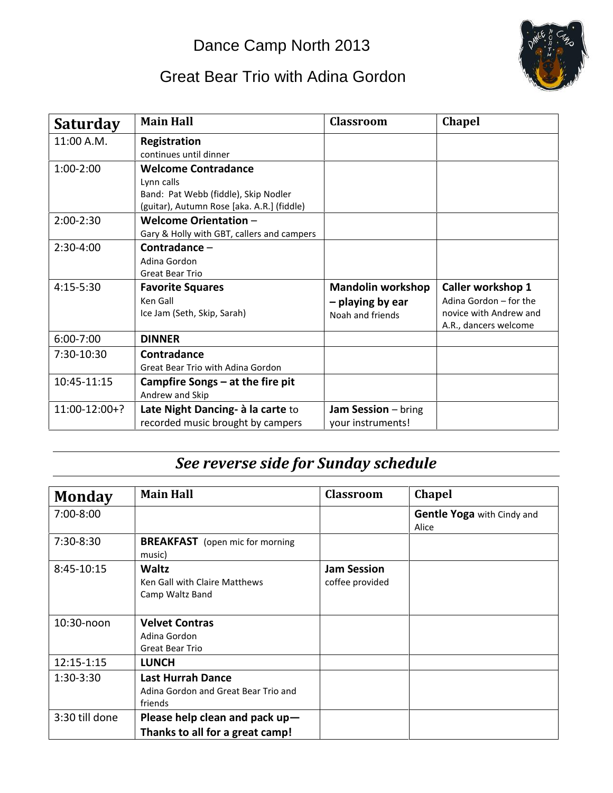## Dance Camp North 2013

## Great Bear Trio with Adina Gordon



| <b>Saturday</b> | <b>Main Hall</b>                           | <b>Classroom</b>         | <b>Chapel</b>                                   |
|-----------------|--------------------------------------------|--------------------------|-------------------------------------------------|
| 11:00 A.M.      | Registration                               |                          |                                                 |
|                 | continues until dinner                     |                          |                                                 |
| $1:00-2:00$     | <b>Welcome Contradance</b>                 |                          |                                                 |
|                 | Lynn calls                                 |                          |                                                 |
|                 | Band: Pat Webb (fiddle), Skip Nodler       |                          |                                                 |
|                 | (guitar), Autumn Rose [aka. A.R.] (fiddle) |                          |                                                 |
| $2:00-2:30$     | <b>Welcome Orientation -</b>               |                          |                                                 |
|                 | Gary & Holly with GBT, callers and campers |                          |                                                 |
| $2:30-4:00$     | Contradance -                              |                          |                                                 |
|                 | Adina Gordon                               |                          |                                                 |
|                 | <b>Great Bear Trio</b>                     |                          |                                                 |
| $4:15 - 5:30$   | <b>Favorite Squares</b>                    | <b>Mandolin workshop</b> | Caller workshop 1                               |
|                 | Ken Gall                                   | - playing by ear         | Adina Gordon - for the                          |
|                 | Ice Jam (Seth, Skip, Sarah)                | Noah and friends         | novice with Andrew and<br>A.R., dancers welcome |
| $6:00 - 7:00$   | <b>DINNER</b>                              |                          |                                                 |
| 7:30-10:30      | Contradance                                |                          |                                                 |
|                 | Great Bear Trio with Adina Gordon          |                          |                                                 |
| 10:45-11:15     | Campfire Songs $-$ at the fire pit         |                          |                                                 |
|                 | Andrew and Skip                            |                          |                                                 |
| $11:00-12:00+?$ | Late Night Dancing- à la carte to          | Jam Session - bring      |                                                 |
|                 | recorded music brought by campers          | your instruments!        |                                                 |

## *See reverse side for Sunday schedule*

| <b>Monday</b>  | <b>Main Hall</b>                                                            | <b>Classroom</b>                      | <b>Chapel</b>                              |
|----------------|-----------------------------------------------------------------------------|---------------------------------------|--------------------------------------------|
| $7:00-8:00$    |                                                                             |                                       | <b>Gentle Yoga</b> with Cindy and<br>Alice |
| 7:30-8:30      | <b>BREAKFAST</b> (open mic for morning<br>music)                            |                                       |                                            |
| 8:45-10:15     | Waltz<br>Ken Gall with Claire Matthews<br>Camp Waltz Band                   | <b>Jam Session</b><br>coffee provided |                                            |
| 10:30-noon     | <b>Velvet Contras</b><br>Adina Gordon<br><b>Great Bear Trio</b>             |                                       |                                            |
| 12:15-1:15     | <b>LUNCH</b>                                                                |                                       |                                            |
| $1:30-3:30$    | <b>Last Hurrah Dance</b><br>Adina Gordon and Great Bear Trio and<br>friends |                                       |                                            |
| 3:30 till done | Please help clean and pack up-<br>Thanks to all for a great camp!           |                                       |                                            |